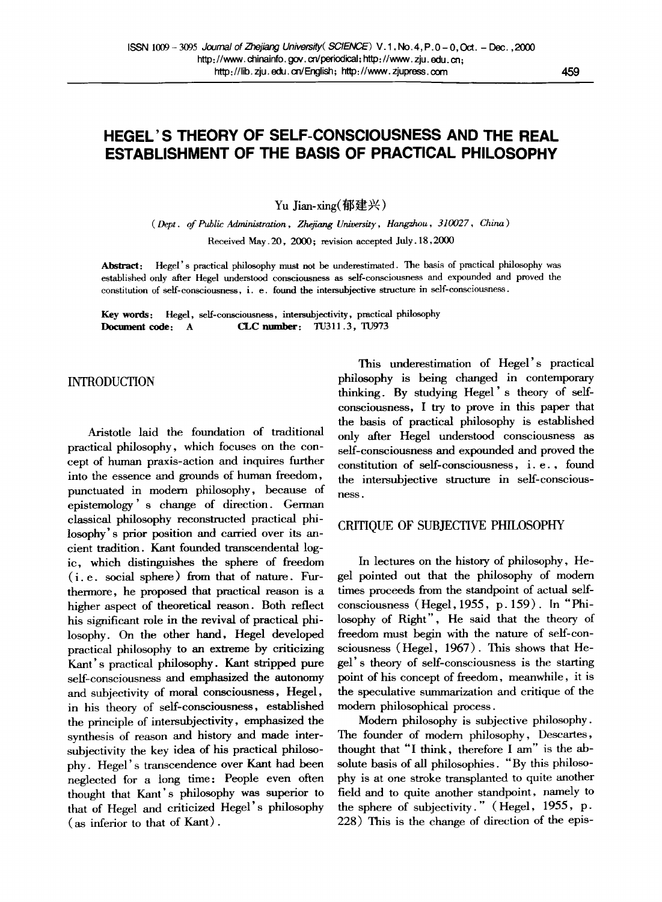# **HEGEL'S THEORY OF SELF-CONSCIOUSNESS AND THE REAL ESTABLISHMENT OF THE BASIS OF PRACTICAL PHILOSOPHY**

Yu Jian-xing(郁建兴)

*( Dept. of Public Administration, Zhejiang University, Hangzhou, 310027, China)* 

Received May.20, 2000; revision accepted July. 18,2000

Abstract: Hegel's practical philosophy must not be underestimated. The basis of practical philosophy was established only after Hegel understood consciousness as serf-consciousness and expounded and proved the constitution of self-consciousness, i. e. found the intersubjective structure in self-consciousness.

Key words: Hegel, self-consciousness, intersubjectivity, practical philosophy Document code: A CLC number: TU311.3, TU973

INTRODUCTION

Aristotle laid the foundation of traditional practical philosophy, which focuses on the concept of human praxis-action and inquires further into the essence and grounds of human freedom, punctuated in modem philosophy, because of epistemology' s change of direction. German classical philosophy reconstructed practical philosophy's prior position and carried over its ancient tradition. Kant founded transcendental logic, which distinguishes the sphere of freedom (i. e. social sphere) from that of nature. Furthermore, he proposed that practical reason is a higher aspect of theoretical reason. Both reflect his significant role in the revival of practical philosophy. On the other hand, Hegel developed practical philosophy to an extreme by criticizing Kant's practical philosophy. Kant stripped pure self-consciousness and emphasized the autonomy and subjectivity of moral consciousness, Hegel, in his theory of self-consciousness, established the principle of intersubjectivity, emphasized the synthesis of reason and history and made intersubjectivity the key idea of his practical philosophy. Hegel's transcendence over Kant had been neglected for a long time: People even often thought that Kant's philosophy was superior to that of Hegel and criticized Hegel's philosophy (as inferior to that of Kant).

This underestimation of Hegel's practical philosophy is being changed in contemporary thinking. By studying Hegel's theory of selfconsciousness, I try to prove in this paper that the basis of practical philosophy is established only after Hegel understood consciousness as self-consciousness and expounded and proved the constitution of self-consciousness, i.e., found the intersubjective structure in self-consciousness.

### CRITIQUE OF SUBJECTIVE PHILOSOPHY

In lectures on the history of philosophy, Hegel pointed out that the philosophy of modem times proceeds from the standpoint of actual selfconsciousness (Hegel, *1955,* p. 159). In "Philosophy of Right", He said that the theory of freedom must begin with the nature of self-consciousness (Hegel, 1967). This shows that Hegel's theory of self-consciousness is the starting point of his concept of freedom, meanwhile, it is the speculative summarization and critique of the modem philosophical process.

Modem philosophy is subjective philosophy. The founder of modem philosophy, Descartes, thought that *"I* think, therefore I am" is the absolute basis of all philosophies. "By this philosophy is at one stroke transplanted to quite another field and to quite another standpoint, namely to the sphere of subjectivity." (Hegel, *1955, p.*  228) This is the change of direction of the epis-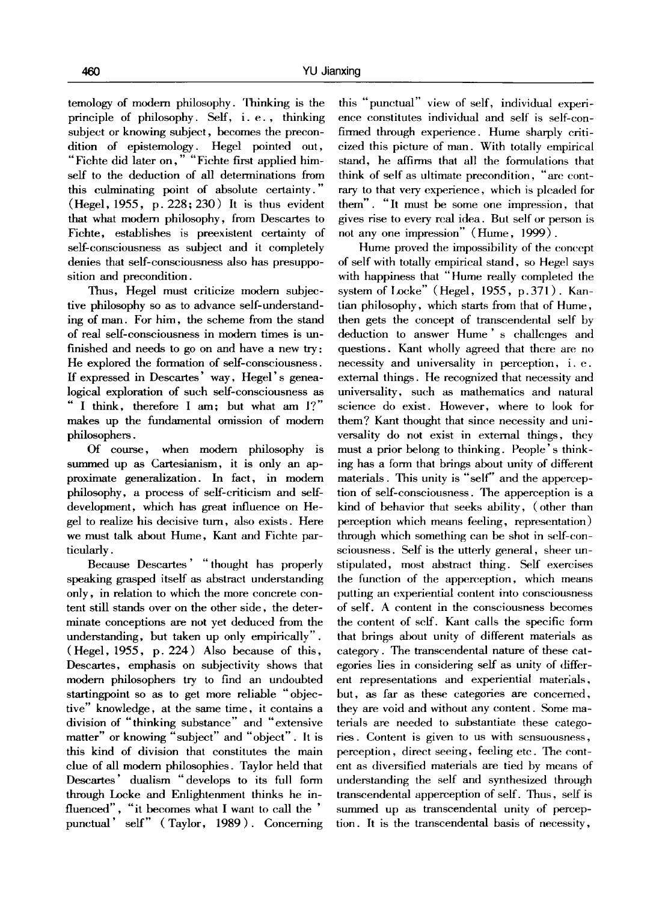temology of modem philosophy. Thinking is the principle of philosophy. Self, i.e., thinking subject or knowing subject, becomes the precondition of epistemology. Hegel pointed out, "Fichte did later on," "Fichte first applied himself to the deduction of all determinations from this culminating point of absolute certainty. " (Hegel, 1955, p. 228; 230) It is thus evident that what modern philosophy, from Descartes to Fichte, establishes is preexistent certainty of self-consciousness as subject and it completely denies that self-consciousness also has presupposition and precondition.

Thus, Hegel must criticize modern subjective philosophy so as to advance self-understanding of man. For him, the scheme from the stand of real self-consciousness in modern times is unfinished and needs to go on and have a new try: He explored the formation of self-consciousness. If expressed in Descartes' way, Hegel's genealogical exploration of such self-consciousness as " I think, therefore I am; but what am l?" makes up the fundamental omission of modern philosophers.

Of course, when modern philosophy is summed up as Cartesianism, it is only an approximate generalization. In fact, in modem philosophy, a process of self-criticism and selfdevelopment, which has great influence on Hegel to realize his decisive turn, also exists. Here we must talk about Hume, Kant and Fichte particularly.

Because Descartes' " thought has properly speaking grasped itseff as abstract understanding only, in relation to which the more concrete content still stands over on the other side, the determinate conceptions are not yet deduced from the understanding, but taken up only empirically". (Hegel, 1955, p. 224) Also because of this, Descartes, emphasis on subjectivity shows that modern philosophers try to find an undoubted startingpoint so as to get more reliable "objective" knowledge, at the same time, it contains a division of "thinking substance" and "extensive matter" or knowing "subject" and "object". It is this kind of division that constitutes the main clue of all modem philosophies. Taylor held that Descartes' dualism "develops to its full form through Locke and Enlightenment thinks he influenced", "it becomes what I want to call the ' punctual' self" (Taylor, 1989). Concerning this "punctual" view of self, individual experience constitutes individual and self is self-confirmed through experience. Hume sharply criticized this picture of man. With totally empirical stand, he affirms that all the formulations that think of self as ultimate precondition, "arc contrary to that very experience, which is pleaded for them". "It must be some one impression, that gives rise to every real idea. But self or person is not any one impression" (Hume, 1999) .

Hume proved the impossibility of the concept of self with totally empirical stand, so Hegel says with happiness that "Hume really completed the system of Locke" (Hegel, 1955, p.371). Kantian philosophy, which starts from that of Hume, then gets the concept of transcendental self by deduction to answer Hume's challenges and questions. Kant wholly agreed that there are no necessity and universality in perception, i.e. external things. He recognized that necessity and universality, such as mathematics and natural science do exist. However, where to look for them? Kant thought that since necessity and universality do not exist in external things, they must a prior belong to thinking. People's thinking has a form that brings about unity of different materials. This unity is "self" and the apperception of self-consciousness. The apperception is a kind of behavior that seeks ability, (other than perception which means feeling, representation) through which something can be shot in self-consciousness. Self is the utterly general, sheer unstipulated, most abstract thing. Self exercises the function of the apperception, which means putting an experiential content into consciousness of self. A content in the consciousness becomes the content of self. Kant calls the specific form that brings about unity of different materials as category. The transcendental nature of these categories lies in considering self as unity of different representations and experiential materials, but, as far as these categories are concerned, they are void and without any content. Some materials are needed to substantiate these categories. Content is given to us with sensuousness, perception, direct seeing, feeling etc. The content as diversified materials are tied by means of understanding the self and synthesized through transcendental apperception of self. Thus, self is summed up as transcendental unity of perception. It is the transcendental basis of necessity,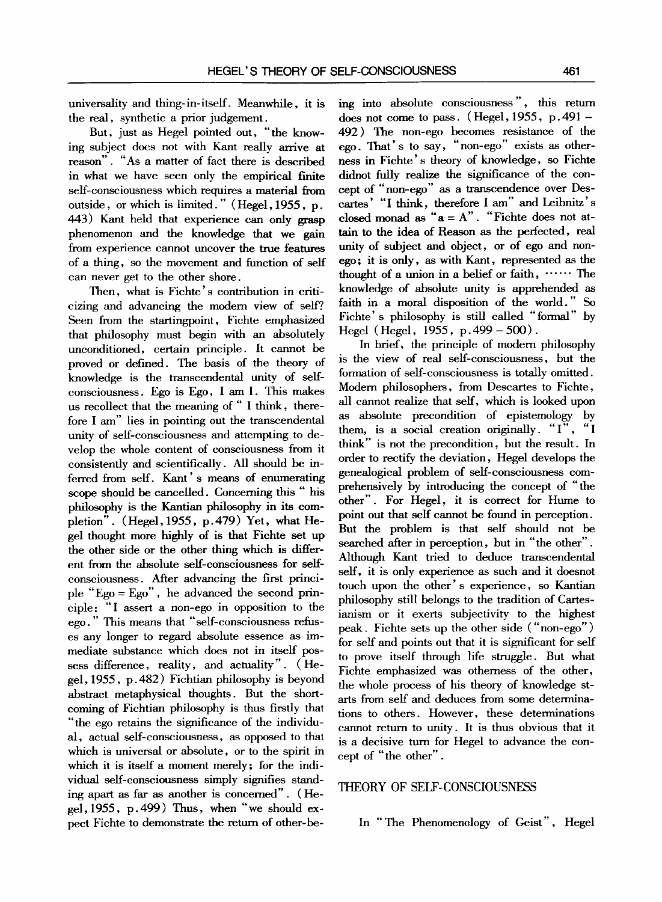universality and thing-in-itseff. Meanwhile, it is the real, synthetic a prior judgement.

But, just as Hegel pointed out, *"the* knowing subject does not with Kant really arrive at reason". *"As* a matter of fact there is described in what we have seen only the empirical finite self-consciousness which requires a material from outside, or which is limited." (Hegel, 1955, p. 443) Kant held that experience can only grasp phenomenon and the knowledge that we gain from experience cannot uncover the true features of a thing, so the movement and function of self can never get to the other shore.

Then, what is Fichte's contribution in criticizing and advancing the modern view of self? Seen from the startingpoint, Fichte emphasized that philosophy must begin with an absolutely unconditioned, certain principle. It cannot be proved or defined. The basis of the theory of knowledge is the transcendental unity of selfconsciousness. Ego is Ego, I am I. This makes us recollect that the meaning of *"* I think, therefore I am" lies in pointing out the transcendental unity of self-consciousness and attempting to develop the whole content of consciousness from it consistently and scientifically. All should be inferred from self. Kant' s means of enumerating scope should be cancelled. Concerning this *"* his philosophy is the Kantian philosophy in its completion". (Hegel, *1955,* p.479) Yet, what Hegel thought more highly of is that Fichte set up the other side or the other thing which is different from the absolute self-consciousness for selfconsciousness. After advancing the first principle "Ego = Ego", he advanced the second principle: *"'I* assert a non-ego in opposition to the ego." This means that "self-consciousness refuses any longer to regard absolute essence as immediate substance which does not in itself possess difference, reality, and actuality". (Hegel, *1955,* p. 482) Fichtian philosophy is beyond abstract metaphysical thoughts. But the shortcoming of Fichtian philosophy is thus firstly that *"'the* ego retains the significance of the individual, actual self-consciousness, as opposed to that which is universal or absolute, or to the spirit in which it is itself a moment merely; for the individual self-consciousness simply signifies standing apart as far as another is concemed". (Hege1,1955, p.499) Thus, when *"we* should expect Fichte to demonstrate the return of other-being into absolute consciousness", this return does not come to pass. (Hegel,  $1955$ , p. 491 – 492) The non-ego becomes resistance of the ego. That's to say, "non-ego" exists as otherhess in Fichte's theory of knowledge, so Fichte didnot fully realize the significance of the concept of "non-ego" as a transcendence over Descartes' *"I think,* therefore I am" and Leibnitz's closed monad as *"a = A". "Fichte* does not attain to the idea of Reason as the perfected, real unity of subject and object, or of ego and nonego; it is only, as with Kant, represented as the thought of a union in a belief or faith,  $\cdots$ . The knowledge of absolute unity is apprehended as faith in a moral disposition of the world." So Fichte' s philosophy is still called *"'formal"* by Hegel (Hegel, *1955,* p.499 - 500).

In brief, the principle of modern philosophy is the view of real self-consciousness, but the formation of self-consciousness is totally omitted. Modern philosophers, from Descartes to Fichte, all cannot realize that self, which is looked upon as absolute precondition of epistemology by them, is a social creation originally. *"I", "I*  think" is not the precondition, but the result. In order to rectify the deviation, Hegel develops the genealogical problem of self-consciousness comprehensively by introducing the concept of "the other". For Hegel, it is correct for Hume to point out that self cannot be found in perception. But the problem is that self should not be searched after in perception, but in "the other". Although Kant tried to deduce transcendental self, it is only experience as such and it doesnot touch upon the other's experience, so Kantian philosophy still belongs to the tradition of Cartesianism or it exerts subjectivity to the highest peak. Fiehte sets up the other side ("non-ego") for self and points out that it is significant for self to prove itseff through life struggle. But what Fichte emphasized was othemess of the other, the whole process of his theory of knowledge starts from self and deduces from some determinations to others. However, these determinations cannot return to unity. It is thus obvious that it is a decisive turn for Hegel to advance the concept of "the other".

## THEORY OF SELF-CONSCIOUSNESS

In "The Phenomenology of Geist", Hegel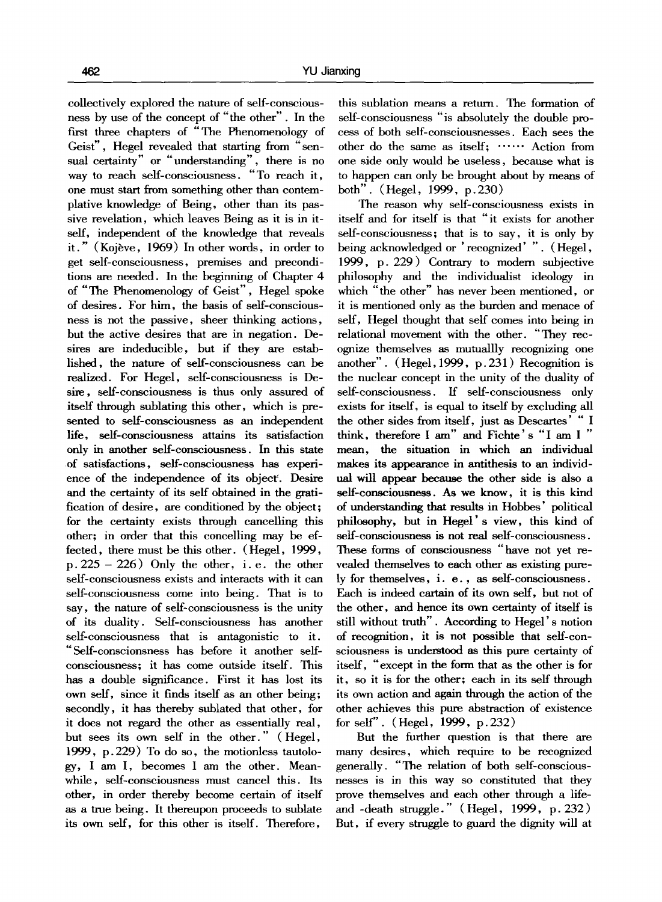collectively explored the nature of self-consciousness by use of the concept of *"'the* other". In the first three chapters of *"'The* Phenomenology of Geist", Hegel revealed that starting from *"" sen*sual certainty" or *""* understanding", there is no way to reach self-consciousness. *"To* reach it, one must start from something other than contemplative knowledge of Being, other than its passive revelation, which leaves Being as it is in itself, independent of the knowledge that reveals it." (Kojève, 1969) In other words, in order to get self-consciousness, premises and preconditions are needed. In the beginning of Chapter 4 of *"'The* Phenomenology of Geist", Hegel spoke of desires. For him, the basis of self-consciousness is not the passive, sheer thinking actions, but the active desires that are in negation. Desires are indeducible, but if they are established, the nature of self-consciousness can be realized. For Hegel, self-consciousness is Desire, self-consciousness is thus only assured of itself through sublating this other, which is presented to self-consciousness as an independent life, self-consciousness attains its satisfaction only in another self-consciousness. In this state of satisfactions, self-consciousness has experience of the independence of its object. Desire and the certainty of its self obtained in the gratification of desire, are conditioned by the object; for the certainty exists through cancelling this other; in order that this concelling may be effected, there must be this other. (Hegel, 1999,  $p. 225 - 226$ ) Only the other, i.e. the other self-consciousness exists and interacts with it can self-consciousness come into being. That is to say, the nature of self-consciousness is the unity of its duality. Self-consciousness has another self-consciousness that is antagonistic to it. "Self-conscionsness has before it another selfconsciousness; it has come outside itself. This has a double significance. First it has lost its own self, since it finds itself as an other being; secondly, it has thereby sublated that other, for it does not regard the other as essentially real, but sees its own self in the other. " (Hegel, 1999, p.229) To do so, the motionless tautology, I am I, becomes I am the other. Meanwhile, self-consciousness must cancel this. Its other, in order thereby become certain of itself as a true being. It thereupon proceeds to sublate its own self, for this other is itself. Therefore,

this sublation means a return. The formation of self-consciousness *"is* absolutely the double process of both self-consciousnesses. Each sees the other do the same as itself; ...... Action from one side only would be useless, because what is to happen can only be brought about by means of both". (Hegel, 1999, p. 230)

The reason why self-consciousness exists in itself and for itself is that *"it* exists for another self-consciousness; that is to say, it is only by being acknowledged or 'recognized'". (Hegel, 1999, p. 229) Contrary to modern subjective philosophy and the individualist ideology in which *"the* other" has never been mentioned, or it is mentioned only as the burden and menace of self, Hegel thought that self comes into being in relational movement with the other. *"They rec*ognize themselves as mutuallly recognizing one another". (Hegel, 1999, p. 231) Recognition is the nuclear concept in the unity of the duality of self-consciousness. If self-consciousness only exists for itself, is equal to itself by excluding all the other sides from itself, just as Descartes' *" I*  think, therefore I am" and Fichte's "I am I" mean, the situation in which an individual makes its appearance in antithesis to an individual will appear because the other side is also a self-consciousness. As we know, it is this kind of understanding that results in Hobbes' political philosophy, but in Hegel's view, this kind of self-consciousness is not real self-consciousness. These forms of consciousness *"have* not yet revealed themselves to each other as existing purely for themselves, i. e., as self-consciousness. Each is indeed cartain of its own self, but not of the other, and hence its own certainty of itself is still without truth". According to Hegel's notion of recognition, it is not possible that self-consciousness is understood as this pure certainty of itself, "except in the form that as the other is for it, so it is for the other; each in its self through its own action and again through the action of the other achieves this pure abstraction of existence for self". ( Hegel, 1999, p. 232)

But the further question is that there are many desires, which require to be recognized generally. *"The* relation of both self-consciousnesses is in this way so constituted that they prove themselves and each other through a lifeand -death struggle. " ( Hegel, 1999, p. 232) But, if every struggle to guard the dignity will at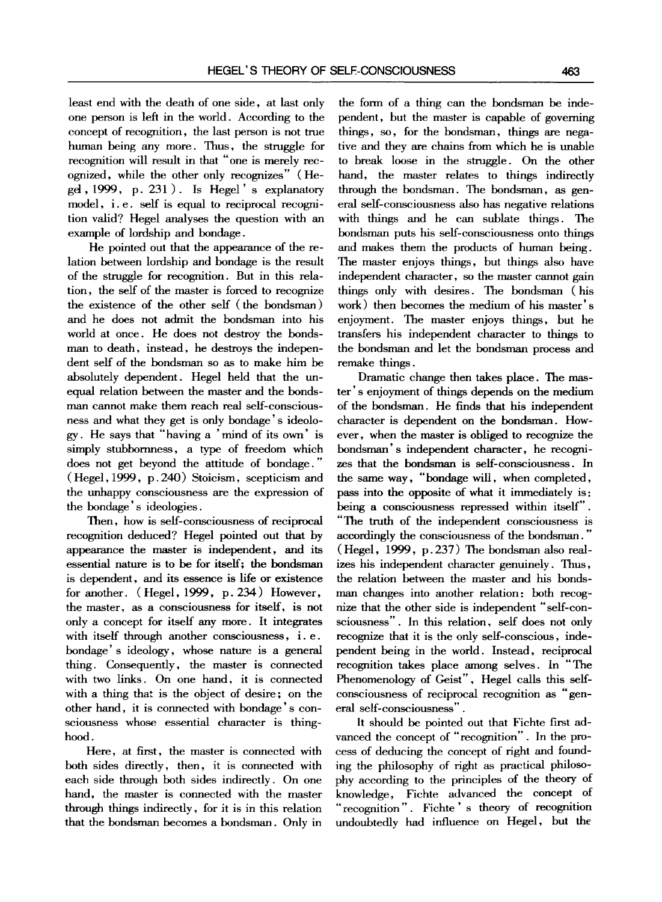least end with the death of one side, at last only one person is left in the world. According to the concept of recognition, the last person is not true human being any more. Thus, the struggle for recognition will result in that "one is merely recognized, while the other only recognizes" (Hegel, 1999, p. 231 ). Is Hegel ' s explanatory model, i.e. self is equal to reciprocal recognition valid? Hegel analyses the question with an example of lordship and bondage.

He pointed out that the appearance of the relation between lordship and bondage is the result of the struggle for recognition. But in this relation, the self of the master is forced to recognize the existence of the other self (the bondsman) and he does not admit the bondsman into his world at once. He does not destroy the bondsman to death, instead, he destroys the independent self of the bondsman so as to make him be absolutely dependent. Hegel held that the unequal relation between the master and the bondsman cannot make them reach real self-consciousness and what they get is only bondage's ideology. He says that *"having* a 'mind of its own' is simply stubbornness, a type of freedom which does not get beyond the attitude of bondage." ( Hegel, 1999, p. 240) Stoicism, scepticism and the unhappy consciousness are the expression of the bondage's ideologies.

Then, how is self-consciousness of reciprocal recognition deduced? Hegel pointed out that by appearance the master is independent, and its essential nature is to be for itself; the bondsman is dependent, and its essence is life or existence for another. (Hegel, 1999, p. 234) However, the master, as a consciousness for itself, is not only a concept for itself any more. It integrates with itself through another consciousness, i.e. bondage' s ideology, whose nature is a general thing. Consequently, the master is connected with two links. On one hand, it is connected with a thing that is the object of desire; on the other hand, it is connected with bondage's consciousness whose essential character is thinghood.

Here, at first, the master is connected with both sides directly, then, it is connected with each side through both sides indirectly. On one hand, the master is connected with the master through things indirectly, for it is in this relation that the bondsman becomes a bondsman. Only in the form of a thing can the bondsman be independent, but the master is capable of governing things, so, for the bondsman, things are negative and they are chains from which he is unable to break loose in the struggle. On the other hand, the master relates to things indirectly through the bondsman. The bondsman, as general self-consciousness also has negative relations with things and he can sublate things. The bondsman puts his self-consciousness onto things and makes them the products of human being. The master enjoys things, but things also have independent character, so the master cannot gain things only with desires. The bondsman (his work) then becomes the medium of his master' s enjoyment. The master enjoys things, but he transfers his independent character to things to the bondsman and let the bondsman process and remake things.

Dramatic change then takes place. The master' s enjoyment of things depends on the medium of the bondsman. He finds that his independent character is dependent on the bondsman. However, when the master is obliged to recognize the bondsman's independent character, he recognizes that the bondsman is self-consciousness. In the same way, *"bondage* will, when completed, pass into the opposite of what it immediately is: being a consciousness repressed within itself". *"The truth* of the independent consciousness is accordingly the consciousness of the bondsman." (Hegel, 1999, p.237) The bondsman also realizes his independent character genuinely. Thus, the relation between the master and his bondsman changes into another relation: both recognize that the other side is independent "self-consciousness". In this relation, self does not only recognize that it is the only self-conscious, independent being in the world. Instead, reciprocal recognition takes place among selves. In *"The*  Phenomenology of Geist", Hegel calls this selfconsciousness of reciprocal recognition as "general self-consciousness".

It should be pointed out that Fichte first advanced the concept of *"recognition".* In the process of deducing the concept of right and founding the philosophy of right as practical philosophy according to the principles of the theory of knowledge, Fichte advanced the concept of *"recognition".* Fichte ' s theory of recognition undoubtedly had influence on Hegel, but the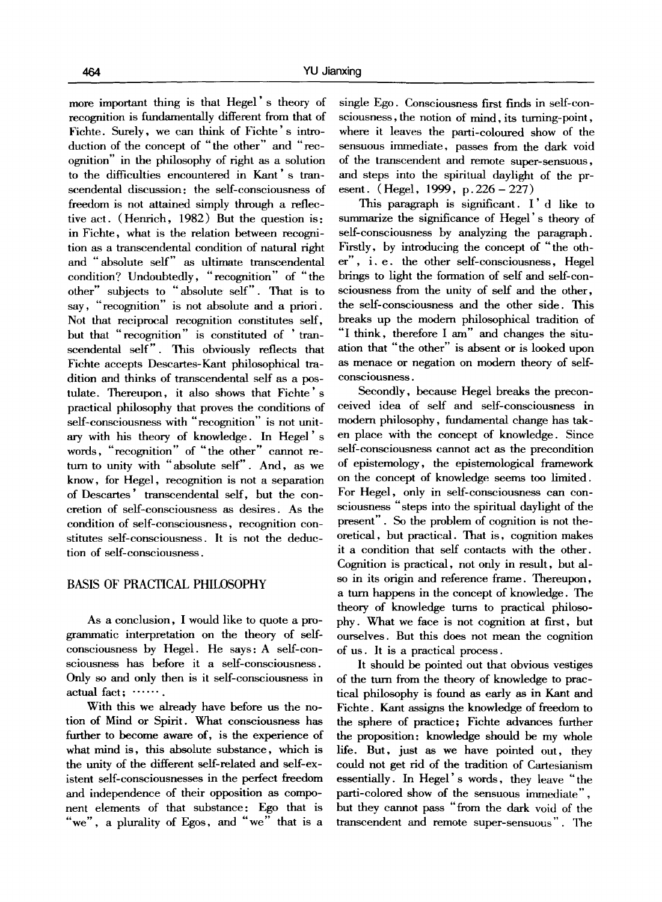more important thing is that Hegel' s theory of recognition is fundamentally different from that of Fichte. Surely, we can think of Fichte' s introduction of the concept of *"the* other" and *"rec*ognition" in the philosophy of right as a solution to the difficulties encountered in Kant's transcendental discussion: the self-consciousness of freedom is not attained simply through a reflective act. (Henrich, 1982) But the question is: in Fichte, what is the relation between recognition as a transcendental condition of natural right and "absolute self" as ultimate transcendental condition? Undoubtedly, "recognition" of "the other" subjects to "absolute self". That is to say, "recognition" is not absolute and a priori. Not that reciprocal recognition constitutes self, but that "recognition" is constituted of 'transcendental self". This obviously reflects that Fichte accepts Descartes-Kant philosophical tradition and thinks of transcendental self as a postulate. Thereupon, it also shows that Fichte' s practical philosophy that proves the conditions of self-consciousness with "recognition" is not unitary with his theory of knowledge. In Hegel's words, "recognition" of "the other" cannot return to unity with "absolute self". And, as we know, for Hegel, recognition is not a separation of Descartes' transcendental self, but the concretion of self-consciousness as desires. As the condition of self-consciousness, recognition constitutes self-consciousness. It is not the deduction of self-consciousness.

## BASIS OF PRACTICAL PHILOSOPHY

As a conclusion, I would like to quote a progranunatic interpretation on the theory of selfconsciousness by Hegel. He says: A self-consciousness has before it a self-consciousness. Only so and only then is it self-consciousness in actual fact; .......

With this we already have before us the notion of Mind or Spirit. What consciousness has further to become aware of, is the experience of what mind is, this absolute substance, which is the unity of the different self-related and self-existent self-conseiousnesses in the perfect freedom and independence of their opposition as component elements of that substance: Ego that is *"we",* a plurality of Egos, and *"we"* that is a

single Ego. Consciousness first finds in self-consciousness, the notion of mind, its turning-point, where it leaves the parti-coloured show of the sensuous immediate, passes from the dark void of the transcendent and remote super-sensuous, and steps into the spiritual daylight of the present. ( Hegel, 1999, p. 226 - 227)

This paragraph is significant. I'd like to summarize the significance of Hegel's theory of self-consciousness by analyzing the paragraph. Firstly, by introducing the concept of "the other", i.e. the other self-consciousness, Hegel brings to light the formation of self and self-consciousness from the unity of self and the other, the self-consciousness and the other side. This breaks up the modern philosophical tradition of *"'I* think, therefore I am" and changes the situation that "the other" is absent or is looked upon as menace or negation on modern theory of selfconsciousness.

Secondly, because Hegel breaks the preconceived idea of self and self-consciousness in modern philosophy, fundamental change has taken place with the concept of knowledge. Since self-consciousness cannot act as the precondition of epistemology, the epistemological framework on the concept of knowledge seems too limited. For Hegel, only in self-consciousness can consciousness *"steps* into the spiritual daylight of the present". So the problem of cognition is not theoretical, but practical. That is, cognition makes it a condition that self contacts with the other. Cognition is practical, not only in result, but also in its origin and reference frame. Thereupon, a turn happens in the concept of knowledge. The theory of knowledge turns to practical philosophy. What we face is not cognition at first, but ourselves. But this does not mean the cognition of us. It is a practical process.

It should be pointed out that obvious vestiges of the turn from the theory of knowledge to practical philosophy is found as early as in Kant and Fichte. Kant assigns the knowledge of freedom to the sphere of practice; Fichte advances further the proposition: knowledge should be my whole life. But, just as we have pointed out, they could not get rid of the tradition of Cartesianism essentially. In Hegel's words, they leave *"the*  parti-colored show of the sensuous immediate", but they cannot pass *"from* the dark void of the transcendent and remote super-sensuous". The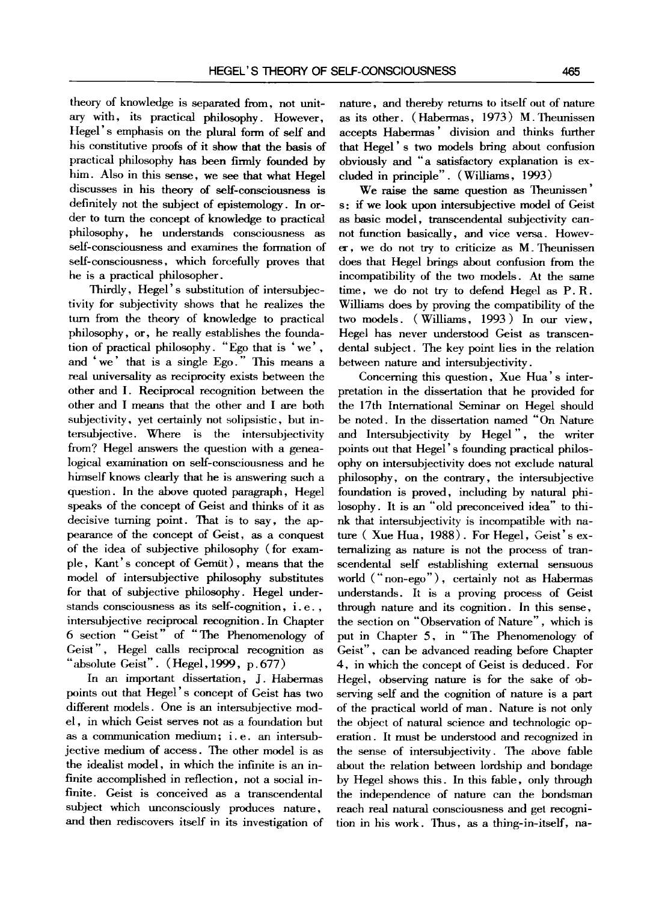theory of knowledge is separated from, not unitary with, its practical philosophy. However, Hegel's emphasis on the plural form of self and his constitutive proofs of it show that the basis of practical philosophy has been firmly founded by him. Also in this sense, we see that what Hegel discusses in his theory of self-consciousness is definitely not the subject of epistemology. In order to turn the concept of knowledge to practical philosophy, he understands consciousness as self-consciousness and examines the formation of self-consciousness, which forcefully proves that he is a practical philosopher.

Thirdly, Hegel's substitution of intersubjectivity for subjectivity shows that he realizes the turn from the theory of knowledge to practical philosophy, or, he really establishes the foundation of practical philosophy. "Ego that is 'we', and 'we' that is a single Ego." This means a real universality as reciprocity exists between the other and I. Reciprocal recognition between the other and I means that the other and I are both subjectivity, yet certainly not solipsistic, but intersubjective. Where is the intersubjectivity from? Hegel answers the question with a genealogical examination on self-consciousness and he himself knows clearly that he is answering such a question. In the above quoted paragraph, Hegel speaks of the concept of Geist and thinks of it as decisive turning point. That is to say, the appearance of the concept of Geist, as a conquest of the idea of subjective philosophy (for example, Kant's concept of Gemüt), means that the model of intersubjective philosophy substitutes for that of subjective philosophy. Hegel understands consciousness as its self-cognition, i.e., intersubjective reciprocal recognition. In Chapter 6 section *"Geist"* of *"" The* Phenomenology of Geist", Hegel calls reciprocal recognition as  $\alpha$  absolute Geist". (Hegel, 1999, p. 677)

In an important dissertation, J. Habermas points out that Hegel' s concept of Geist has two different models. One is an intersubjective model, in which Geist serves not as a foundation but as a communication medium; i.e. an intersubjective medium of access. The other model is as the idealist model, in which the infinite is an infinite accomplished in reflection, not a social infinite. Geist is conceived as a transcendental subject which unconsciously produces nature, and then rediscovers itself in its investigation of

nature, and thereby returns to itself out of nature as its other. (Habermas, 1973) M.Theunissen accepts Habermas' division and thinks further that Hegel' s two models bring about confusion obviously and *"a* satisfactory explanation is excluded in principle". (Williams, 1993)

We raise the same question as Theunissen' s: if we look upon intersubjective model of Geist as basic model, transcendental subjectivity cannot function basically, and vice versa. However, we do not try to criticize as M. Theunissen does that Hegel brings about confusion from the incompatibility of the two models. At the same time, we do not try to defend Hegel as P.R. Williams does by proving the compatibility of the two models. ( Williams, 1993 ) In our view, Hegel has never understood Geist as transcendental subject. The key point lies in the relation between nature and intersubjectivity.

Concerning this question, Xue Hua' s interpretation in the dissertation that he provided for the 17th International Seminar on Hegel should be noted. In the dissertation named *"On* Nature and Intersubjectivity by Hegel ", the writer points out that Hegel' s founding practical philosophy on intersubjectivity does not exclude natural philosophy, on the contrary, the intersubjective foundation is proved, including by natural philosophy. It is an "old preconceived idea" to think that intersubjectivity is incompatible with nature (Xue Hua, 1988). For Hegel, Geist's externalizing as nature is not the process of transcendental self establishing external sensuous world ("non-ego"), certainly not as Habermas understands. It is a proving process of Geist through nature and its cognition. In this sense, the section on "Observation of Nature", which is put in Chapter 5, in *"The* Phenomenology of Geist", can be advanced reading before Chapter 4, in which the concept of Geist is deduced. For Hegel, observing nature is for the sake of observing self and the cognition of nature is a part of the practical world of man. Nature is not only the object of natural science and technologic operation. It must be understood and recognized in the sense of intersubjectivity. The above fable about the relation between lordship and bondage by Hegel shows this. In this fable, only through the independence of nature can the bondsman reach real natural consciousness and get recognition in his work. Thus, as a thing-in-itself, na